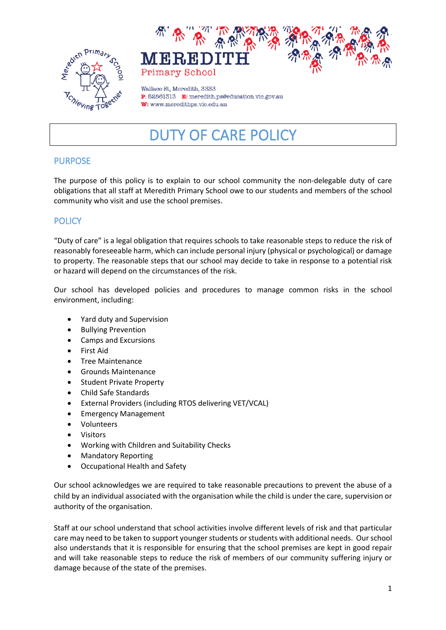



Wallace St. Meredith, 3333 P: 52861313 E: meredith.ps@education.vic.gov.au W: www.meredithps.vic.edu.au

# DUTY OF CARE POLICY

# PURPOSE

The purpose of this policy is to explain to our school community the non-delegable duty of care obligations that all staff at Meredith Primary School owe to our students and members of the school community who visit and use the school premises.

# **POLICY**

"Duty of care" is a legal obligation that requires schools to take reasonable steps to reduce the risk of reasonably foreseeable harm, which can include personal injury (physical or psychological) or damage to property. The reasonable steps that our school may decide to take in response to a potential risk or hazard will depend on the circumstances of the risk.

Our school has developed policies and procedures to manage common risks in the school environment, including:

- Yard duty and Supervision
- Bullying Prevention
- Camps and Excursions
- First Aid
- Tree Maintenance
- Grounds Maintenance
- Student Private Property
- Child Safe Standards
- External Providers (including RTOS delivering VET/VCAL)
- Emergency Management
- Volunteers
- **Visitors**
- Working with Children and Suitability Checks
- Mandatory Reporting
- Occupational Health and Safety

Our school acknowledges we are required to take reasonable precautions to prevent the abuse of a child by an individual associated with the organisation while the child is under the care, supervision or authority of the organisation.

Staff at our school understand that school activities involve different levels of risk and that particular care may need to be taken to support younger students or students with additional needs. Our school also understands that it is responsible for ensuring that the school premises are kept in good repair and will take reasonable steps to reduce the risk of members of our community suffering injury or damage because of the state of the premises.